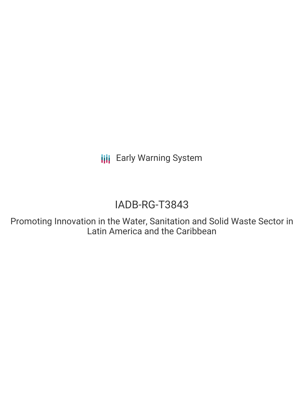**III** Early Warning System

# IADB-RG-T3843

Promoting Innovation in the Water, Sanitation and Solid Waste Sector in Latin America and the Caribbean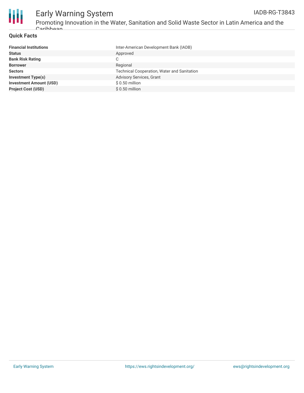

### **Quick Facts**

| <b>Financial Institutions</b>  | Inter-American Development Bank (IADB)             |
|--------------------------------|----------------------------------------------------|
| <b>Status</b>                  | Approved                                           |
| <b>Bank Risk Rating</b>        | С                                                  |
| <b>Borrower</b>                | Regional                                           |
| <b>Sectors</b>                 | <b>Technical Cooperation, Water and Sanitation</b> |
| <b>Investment Type(s)</b>      | <b>Advisory Services, Grant</b>                    |
| <b>Investment Amount (USD)</b> | \$0.50 million                                     |
| <b>Project Cost (USD)</b>      | $$0.50$ million                                    |
|                                |                                                    |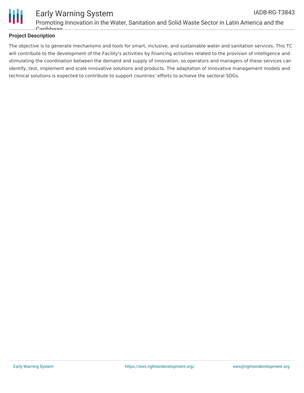

### **Project Description**

The objective is to generate mechanisms and tools for smart, inclusive, and sustainable water and sanitation services. This TC will contribute to the development of the Facility's activities by financing activities related to the provision of intelligence and stimulating the coordination between the demand and supply of innovation, so operators and managers of these services can identify, test, implement and scale innovative solutions and products. The adaptation of innovative management models and technical solutions is expected to contribute to support countries' efforts to achieve the sectoral SDGs.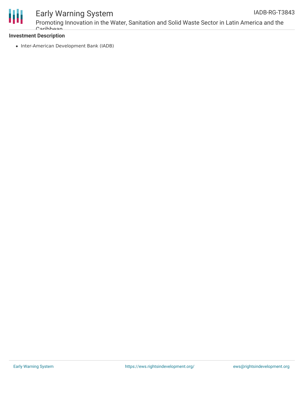

## Early Warning System

Promoting Innovation in the Water, Sanitation and Solid Waste Sector in Latin America and the Caribbean

### **Investment Description**

• Inter-American Development Bank (IADB)